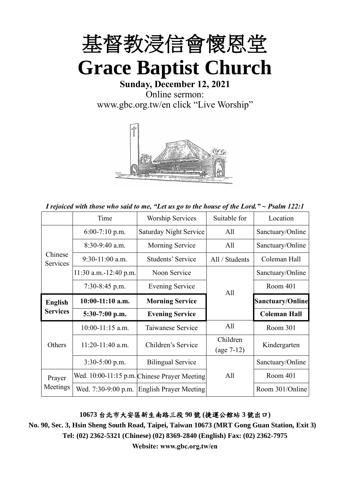

**Sunday, December 12, 2021** Online sermon: [www.gbc.org.tw/en](http://www.gbc.org.tw/en) click "Live Worship"



*I rejoiced with those who said to me, "Let us go to the house of the Lord." ~ Psalm 122:1*

|                                   | Time                    | <b>Worship Services</b>                      | Suitable for   | Location                |  |
|-----------------------------------|-------------------------|----------------------------------------------|----------------|-------------------------|--|
|                                   | $6:00-7:10$ p.m.        | Saturday Night Service<br>All                |                | Sanctuary/Online        |  |
|                                   | $8:30-9:40$ a.m.        | Morning Service                              | All            | Sanctuary/Online        |  |
| Chinese<br>Services               | $9:30-11:00$ a.m.       | Students' Service                            | All / Students | Coleman Hall            |  |
|                                   | $11:30$ a.m.-12:40 p.m. | Noon Service                                 |                | Sanctuary/Online        |  |
|                                   | 7:30-8:45 p.m.          | Evening Service                              | All            | Room 401                |  |
| <b>English</b><br><b>Services</b> | $10:00-11:10$ a.m.      | <b>Morning Service</b>                       |                | <b>Sanctuary/Online</b> |  |
|                                   | 5:30-7:00 p.m.          | <b>Evening Service</b>                       |                | <b>Coleman Hall</b>     |  |
|                                   | $10:00-11:15$ a.m.      | Taiwanese Service                            | All            | Room 301                |  |
| Others                            | $11:20-11:40$ a.m.      | Children's Service                           | Children       | Kindergarten            |  |
| Prayer<br>Meetings                |                         |                                              | $(age 7-12)$   |                         |  |
|                                   | $3:30-5:00$ p.m.        | <b>Bilingual Service</b>                     |                | Sanctuary/Online        |  |
|                                   |                         | Wed. 10:00-11:15 p.m. Chinese Prayer Meeting | All            | Room 401                |  |
|                                   | Wed. 7:30-9:00 p.m.     | <b>English Prayer Meeting</b>                |                | Room 301/Online         |  |

#### **10673** 台北市大安區新生南路三段 **90** 號 **(**捷運公館站 **3** 號出口**)**

**No. 90, Sec. 3, Hsin Sheng South Road, Taipei, Taiwan 10673 (MRT Gong Guan Station, Exit 3) Tel: (02) 2362-5321 (Chinese) (02) 8369-2840 (English) Fax: (02) 2362-7975**

**Website: www.gbc.org.tw/en**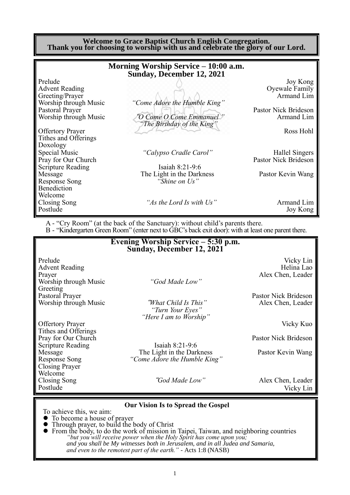**Welcome to Grace Baptist Church English Congregation. Thank you for choosing to worship with us and celebrate the glory of our Lord.**

|                          | Morning Worship Service - 10:00 a.m.<br><b>Sunday, December 12, 2021</b>      |                      |
|--------------------------|-------------------------------------------------------------------------------|----------------------|
| Prelude                  |                                                                               | Joy Kong             |
| <b>Advent Reading</b>    |                                                                               | Oyewale Family       |
| Greeting/Prayer          |                                                                               | Armand Lim           |
| Worship through Music    | "Come Adore the Humble King"                                                  |                      |
| Pastoral Prayer          |                                                                               | Pastor Nick Brideson |
| Worship through Music    | "O Come O Come Emmanuel"<br>The Birthday of the King"                         | Armand Lim           |
| <b>Offertory Prayer</b>  |                                                                               | Ross Hohl            |
| Tithes and Offerings     |                                                                               |                      |
| Doxology                 |                                                                               |                      |
| Special Music            | "Calypso Cradle Carol"                                                        | Hallel Singers       |
| Pray for Our Church      |                                                                               | Pastor Nick Brideson |
| <b>Scripture Reading</b> | Isaiah 8:21-9:6                                                               |                      |
| Message                  | The Light in the Darkness                                                     | Pastor Kevin Wang    |
| Response Song            | "Shine on Us"                                                                 |                      |
| Benediction              |                                                                               |                      |
| Welcome                  |                                                                               |                      |
| Closing Song             | "As the Lord Is with Us"                                                      | Armand Lim           |
| Postlude                 |                                                                               | Joy Kong             |
|                          | A - "Cry Room" (at the back of the Sanctuary): without child's parents there. |                      |

B - "Kindergarten Green Room" (enter next to GBC's back exit door): with at least one parent there.

|                                                 | Evening Worship Service – 5:30 p.m.<br>Sunday, December 12, 2021   |                             |
|-------------------------------------------------|--------------------------------------------------------------------|-----------------------------|
| Prelude<br><b>Advent Reading</b>                |                                                                    | Vicky Lin<br>Helina Lao     |
| Prayer                                          |                                                                    | Alex Chen, Leader           |
| Worship through Music                           | "God Made Low"                                                     |                             |
| Greeting<br>Pastoral Prayer                     |                                                                    | Pastor Nick Brideson        |
| Worship through Music                           | "What Child Is This"<br>"Turn Your Eyes"<br>"Here I am to Worship" | Alex Chen, Leader           |
| <b>Offertory Prayer</b>                         |                                                                    | Vicky Kuo                   |
| Tithes and Offerings                            |                                                                    |                             |
| Pray for Our Church<br><b>Scripture Reading</b> | Isaiah $8:21-9:6$                                                  | <b>Pastor Nick Brideson</b> |
| Message                                         | The Light in the Darkness                                          | Pastor Kevin Wang           |
| <b>Response Song</b><br>Closing Prayer          | "Come Adore the Humble King"                                       |                             |
| Welcome                                         |                                                                    |                             |
| Closing Song                                    | "God Made Low"                                                     | Alex Chen, Leader           |
| Postlude                                        |                                                                    | Vicky Lin                   |

#### **Our Vision Is to Spread the Gospel**

To achieve this, we aim:

- ⚫ To become a house of prayer
- ⚫ Through prayer, to build the body of Christ
- ⚫ From the body, to do the work of mission in Taipei, Taiwan, and neighboring countries *"but you will receive power when the Holy Spirit has come upon you; and you shall be My witnesses both in Jerusalem, and in all Judea and Samaria, and even to the remotest part of the earth." -* Acts 1:8 (NASB)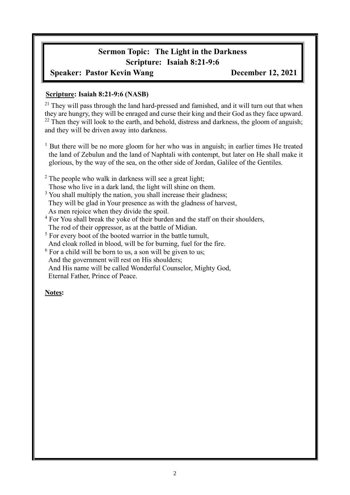# **Sermon Topic: The Light in the Darkness Scripture: Isaiah 8:21-9:6**

#### **Speaker: Pastor Kevin Wang December 12, 2021**

#### **Scripture: Isaiah 8:21-9:6 (NASB)**

 $21$  They will pass through the land hard-pressed and famished, and it will turn out that when they are hungry, they will be enraged and curse their king and their God as they face upward.  $22$  Then they will look to the earth, and behold, distress and darkness, the gloom of anguish; and they will be driven away into darkness.

- <sup>1</sup> But there will be no more gloom for her who was in anguish; in earlier times He treated the land of Zebulun and the land of Naphtali with contempt, but later on He shall make it glorious, by the way of the sea, on the other side of Jordan, Galilee of the Gentiles.
- <sup>2</sup> The people who walk in darkness will see a great light; Those who live in a dark land, the light will shine on them.
- <sup>3</sup> You shall multiply the nation, you shall increase their gladness; They will be glad in Your presence as with the gladness of harvest, As men rejoice when they divide the spoil.
- <sup>4</sup> For You shall break the yoke of their burden and the staff on their shoulders, The rod of their oppressor, as at the battle of Midian.
- $<sup>5</sup>$  For every boot of the booted warrior in the battle tumult,</sup> And cloak rolled in blood, will be for burning, fuel for the fire.
- $6$  For a child will be born to us, a son will be given to us; And the government will rest on His shoulders; And His name will be called Wonderful Counselor, Mighty God, Eternal Father, Prince of Peace.

#### **Notes:**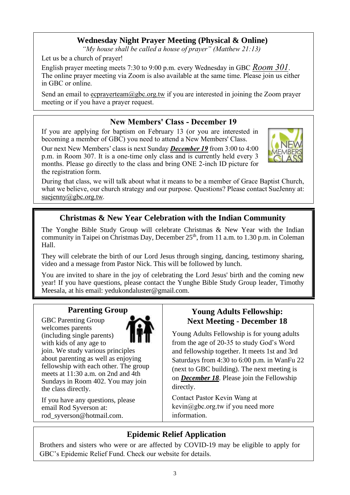## **Wednesday Night Prayer Meeting (Physical & Online)**

*"My house shall be called a house of prayer" (Matthew 21:13)*

Let us be a church of prayer!

English prayer meeting meets 7:30 to 9:00 p.m. every Wednesday in GBC *Room 301*. The online prayer meeting via Zoom is also available at the same time. Please join us either in GBC or online.

Send an email to ecprayerteam@gbc.org.tw if you are interested in joining the Zoom prayer meeting or if you have a prayer request.

## **New Members' Class - December 19**

If you are applying for baptism on February 13 (or you are interested in becoming a member of GBC) you need to attend a New Members' Class.

Our next New Members' class is next Sunday *December 19* from 3:00 to 4:00 p.m. in Room 307. It is a one-time only class and is currently held every 3 months. Please go directly to the class and bring ONE 2-inch ID picture for the registration form.

During that class, we will talk about what it means to be a member of Grace Baptist Church, what we believe, our church strategy and our purpose. Questions? Please contact SueJenny at:

suejenny@gbc.org.tw.

## **Christmas & New Year Celebration with the Indian Community**

The Yonghe Bible Study Group will celebrate Christmas & New Year with the Indian community in Taipei on Christmas Day, December  $25<sup>th</sup>$ , from 11 a.m. to 1.30 p.m. in Coleman Hall.

They will celebrate the birth of our Lord Jesus through singing, dancing, testimony sharing, video and a message from Pastor Nick. This will be followed by lunch.

You are invited to share in the joy of celebrating the Lord Jesus' birth and the coming new year! If you have questions, please contact the Yunghe Bible Study Group leader, Timothy Meesala, at his email: yedukondaluster@gmail.com.

### **Parenting Group**

GBC Parenting Group welcomes parents (including single parents) with kids of any age to



join. We study various principles about parenting as well as enjoying fellowship with each other. The group meets at 11:30 a.m. on 2nd and 4th Sundays in Room 402. You may join the class directly.

If you have any questions, please email Rod Syverson at: [rod\\_syverson@hotmail.com.](mailto:rod_syverson@hotmail.com)

## **Young Adults Fellowship: Next Meeting - December 18**

Young Adults Fellowship is for young adults from the age of 20-35 to study God's Word and fellowship together. It meets 1st and 3rd Saturdays from 4:30 to 6:00 p.m. in WanFu 22 (next to GBC building). The next meeting is on *December 18*. Please join the Fellowship directly.

Contact Pastor Kevin Wang at  $\text{kevin}(a)$ gbc.org.tw if you need more information.

# **Epidemic Relief Application**

Brothers and sisters who were or are affected by COVID-19 may be eligible to apply for GBC's Epidemic Relief Fund. Check our website for details.

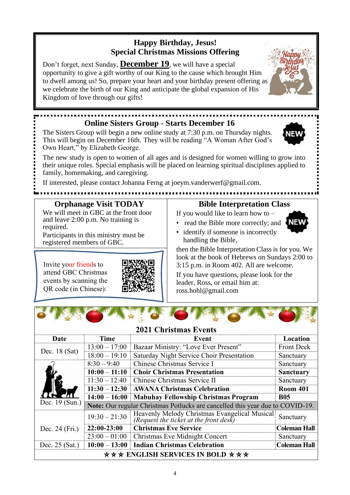## **Happy Birthday, Jesus! Special Christmas Missions Offering**

Don't forget, next Sunday, **December 19**, we will have a special opportunity to give a gift worthy of our King to the cause which brought Him to dwell among us! So, prepare your heart and your birthday present offering as we celebrate the birth of our King and anticipate the global expansion of His Kingdom of love through our gifts!

## **Online Sisters Group - Starts December 16**

The Sisters Group will begin a new online study at 7:30 p.m. on Thursday nights. This will begin on December 16th. They will be reading "A Woman After God's Own Heart," by Elizabeth George.

The new study is open to women of all ages and is designed for women willing to grow into their unique roles. Special emphasis will be placed on learning spiritual disciplines applied to family, homemaking, and caregiving.

If interested, please contact Johanna Ferng at joeym.vanderwerf@gmail.com.

## **Orphanage Visit TODAY**

We will meet in GBC at the front door and leave 2:00 p.m. No training is required.

Participants in this ministry must be registered members of GBC.

Invite your friends to attend GBC Christmas events by scanning the QR code (in Chinese):

### **Bible Interpretation Class**

- If you would like to learn how to • read the Bible more correctly; and
- identify if someone is incorrectly handling the Bible,

then the Bible Interpretation Class is for you. We look at the book of Hebrews on Sundays 2:00 to 3:15 p.m. in Room 402. All are welcome.

If you have questions, please look for the leader, Ross, or email him at: ross.hohl@gmail.com

**2021 Christmas Events**

| Date                                                             | <b>Time</b>     | Event                                                                                   | Location            |  |  |
|------------------------------------------------------------------|-----------------|-----------------------------------------------------------------------------------------|---------------------|--|--|
| Dec. $18$ (Sat)                                                  | $13:00 - 17:00$ | Bazaar Ministry: "Love Ever Present"                                                    | <b>Front Deck</b>   |  |  |
|                                                                  | $18:00 - 19:10$ | Saturday Night Service Choir Presentation                                               | Sanctuary           |  |  |
|                                                                  | $8:30 - 9:40$   | Chinese Christmas Service I                                                             | Sanctuary           |  |  |
|                                                                  | $10:00 - 11:10$ | <b>Choir Christmas Presentation</b>                                                     | <b>Sanctuary</b>    |  |  |
|                                                                  | $11:30 - 12:40$ | Chinese Christmas Service II                                                            | Sanctuary           |  |  |
|                                                                  | $11:30 - 12:30$ | <b>AWANA Christmas Celebration</b>                                                      | <b>Room 401</b>     |  |  |
|                                                                  | $14:00 - 16:00$ | <b>Mabuhay Fellowship Christmas Program</b>                                             | <b>B05</b>          |  |  |
| Dec. 19 (Sun.)                                                   |                 | <b>Note:</b> Our regular Christmas Potlucks are cancelled this year due to COVID-19.    |                     |  |  |
|                                                                  | $19:30 - 21:30$ | Heavenly Melody Christmas Evangelical Musical<br>(Request the ticket at the front desk) | Sanctuary           |  |  |
| Dec. 24 (Fri.)                                                   | 22:00-23:00     | <b>Christmas Eve Service</b>                                                            | <b>Coleman Hall</b> |  |  |
|                                                                  | $23:00 - 01:00$ | Christmas Eve Midnight Concert                                                          | Sanctuary           |  |  |
| Dec. $25$ (Sat.)                                                 | $10:00 - 13:00$ | <b>Indian Christmas Celebration</b>                                                     | <b>Coleman Hall</b> |  |  |
| $\star \star \star$ ENGLISH SERVICES IN BOLD $\star \star \star$ |                 |                                                                                         |                     |  |  |





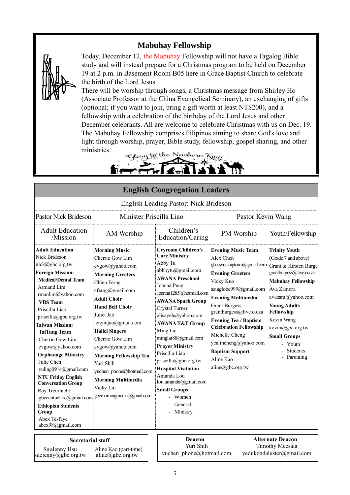## **Mabuhay Fellowship**



suejenny@gbc.org.tw

Today, December 12, the Mabuhay Fellowship will not have a Tagalog Bible study and will instead prepare for a Christmas program to be held on December 19 at 2 p.m. in Basement Room B05 here in Grace Baptist Church to celebrate the birth of the Lord Jesus.

There will be worship through songs, a Christmas message from Shirley Ho (Associate Professor at the China Evangelical Seminary), an exchanging of gifts (optional; if you want to join, bring a gift worth at least NT\$200), and a fellowship with a celebration of the birthday of the Lord Jesus and other December celebrants. All are welcome to celebrate Christmas with us on Dec. 19. The Mabuhay Fellowship comprises Filipinos aiming to share God's love and light through worship, prayer, Bible study, fellowship, gospel sharing, and other ministries.

Jewborn King :Glouy to the !

| <b>English Congregation Leaders</b>                                                                                                                                                                                                                                                                                                                                                                                                                                                                                                                            |                                                                                                                                                                                                                                                                                                                                                                                                                               |                                                                                                                                                                                                                                                                                                                                                                                                                                                                                          |                                                                                                                                                                                                                                                                                                                                                                                              |                                                                                                                                                                                                                                                                                                    |  |
|----------------------------------------------------------------------------------------------------------------------------------------------------------------------------------------------------------------------------------------------------------------------------------------------------------------------------------------------------------------------------------------------------------------------------------------------------------------------------------------------------------------------------------------------------------------|-------------------------------------------------------------------------------------------------------------------------------------------------------------------------------------------------------------------------------------------------------------------------------------------------------------------------------------------------------------------------------------------------------------------------------|------------------------------------------------------------------------------------------------------------------------------------------------------------------------------------------------------------------------------------------------------------------------------------------------------------------------------------------------------------------------------------------------------------------------------------------------------------------------------------------|----------------------------------------------------------------------------------------------------------------------------------------------------------------------------------------------------------------------------------------------------------------------------------------------------------------------------------------------------------------------------------------------|----------------------------------------------------------------------------------------------------------------------------------------------------------------------------------------------------------------------------------------------------------------------------------------------------|--|
| English Leading Pastor: Nick Brideson                                                                                                                                                                                                                                                                                                                                                                                                                                                                                                                          |                                                                                                                                                                                                                                                                                                                                                                                                                               |                                                                                                                                                                                                                                                                                                                                                                                                                                                                                          |                                                                                                                                                                                                                                                                                                                                                                                              |                                                                                                                                                                                                                                                                                                    |  |
| <b>Pastor Nick Brideson</b>                                                                                                                                                                                                                                                                                                                                                                                                                                                                                                                                    | Minister Priscilla Liao                                                                                                                                                                                                                                                                                                                                                                                                       |                                                                                                                                                                                                                                                                                                                                                                                                                                                                                          | Pastor Kevin Wang                                                                                                                                                                                                                                                                                                                                                                            |                                                                                                                                                                                                                                                                                                    |  |
| <b>Adult Education</b><br>/Mission                                                                                                                                                                                                                                                                                                                                                                                                                                                                                                                             | AM Worship                                                                                                                                                                                                                                                                                                                                                                                                                    | Children's<br>Education/Caring                                                                                                                                                                                                                                                                                                                                                                                                                                                           | PM Worship                                                                                                                                                                                                                                                                                                                                                                                   | Youth/Fellowship                                                                                                                                                                                                                                                                                   |  |
| <b>Adult Education</b><br>Nick Brideson<br>nick@gbc.org.tw<br><b>Foreign Mission:</b><br><b>Medical/Dental Team</b><br>Armand Lim<br>rmanlim@yahoo.com<br><b>VBS</b> Team<br>Priscilla Liao<br>priscilla@gbc.org.tw<br><b>Taiwan Mission:</b><br><b>TaiTung Team</b><br>Cherrie Gow Lim<br>cvgow@yahoo.com<br><b>Orphanage Ministry</b><br>Julie Chen<br>yuling0914@gmail.com<br><b>NTU Friday English</b><br><b>Conversation Group</b><br>Roy Treurnicht<br>gbcecntuclass@gmail.com<br><b>Ethiopian Students</b><br>Group<br>Abex Tesfaye<br>abex98@gmail.com | <b>Morning Music</b><br>Cherrie Gow Lim<br>cvgow@yahoo.com<br><b>Morning Greeters</b><br>Chien Ferng<br>cferng@gmail.com<br><b>Adult Choir</b><br><b>Hand Bell Choir</b><br>Juliet Jao<br>lenyinjao@gmail.com<br><b>Hallel Singers</b><br>Cherrie Gow Lim<br>cvgow@yahoo.com<br><b>Morning Fellowship Tea</b><br>Yuri Shih<br>yuchen phone@hotmail.com<br><b>Morning Multimedia</b><br>Vicky Lin<br>gbcmorningmedia@gmail.com | <b>Cryroom Children's</b><br><b>Care Ministry</b><br>Abby Tu<br>abbbytu@gmail.com<br><b>AWANA Preschool</b><br>Joanna Peng<br>Joanna1285@hotmail.com<br><b>AWANA Spark Group</b><br>Crystal Turner<br>elisayeh@yahoo.com<br><b>AWANA T&amp;T Group</b><br>Ming Lai<br>minglai88@gmail.com<br><b>Prayer Ministry</b><br>Priscilla Liao<br>priscilla@gbc.org.tw<br><b>Hospital Visitation</b><br>Amanda Lou<br>lou.amanda@gmail.com<br><b>Small Groups</b><br>Women<br>General<br>Ministry | <b>Evening Music Team</b><br>Alex Chen<br>gbceworshipteam@gmail.com<br><b>Evening Greeters</b><br>Vicky Kuo<br>asiaglobe999@gmail.com<br><b>Evening Multimedia</b><br><b>Grant Burgess</b><br>grantburgess@live.co.za<br><b>Evening Tea / Baptism</b><br><b>Celebration Fellowship</b><br>Michelle Cheng<br>yealincheng@yahoo.com<br><b>Baptism Support</b><br>Aline Kao<br>aline@gbc.org.tw | <b>Trinity Youth</b><br>(Grade 7 and above)<br>Grant & Kirsten Burge<br>grantburgess@live.co.za<br><b>Mabuhay Fellowship</b><br>Ava Zamora<br>avazam@yahoo.com<br><b>Young Adults</b><br>Fellowship<br>Kevin Wang<br>kevin@gbc.org.tw<br><b>Small Groups</b><br>- Youth<br>Students<br>- Parenting |  |
| <b>Secretarial staff</b><br>$C_{\text{max}}$ <b>T</b> $\ldots$ <b>TT</b> $\ldots$                                                                                                                                                                                                                                                                                                                                                                                                                                                                              | $\lambda$ 1' $\lambda$ . IZ $\lambda$ . Also as $\lambda$                                                                                                                                                                                                                                                                                                                                                                     | Deacon<br>Yuri Shih                                                                                                                                                                                                                                                                                                                                                                                                                                                                      |                                                                                                                                                                                                                                                                                                                                                                                              | <b>Alternate Deacon</b><br><b>Timothy Meesala</b>                                                                                                                                                                                                                                                  |  |

Aline Kao (part-time) aline@gbc.org.tw

SueJenny Hsu Aline Kao (part-time)<br>
yuchen phone@hotmail.com [yedukondaluster@gmail.com](mailto:yedukondaluster@gmail.com) subsettle aline@obe\_org.tw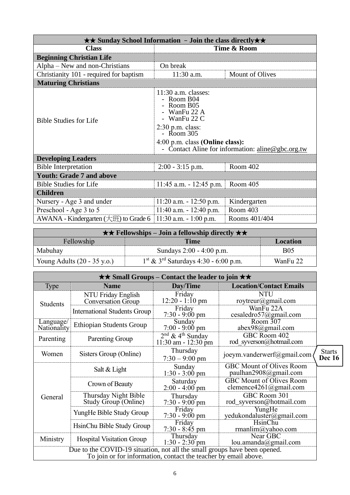| $\star\star$ Sunday School Information - Join the class directly $\star\star$ |                                                                                                                                                                        |                                                   |  |  |  |
|-------------------------------------------------------------------------------|------------------------------------------------------------------------------------------------------------------------------------------------------------------------|---------------------------------------------------|--|--|--|
| <b>Class</b>                                                                  | Time & Room                                                                                                                                                            |                                                   |  |  |  |
| <b>Beginning Christian Life</b>                                               |                                                                                                                                                                        |                                                   |  |  |  |
| Alpha – New and non-Christians                                                | On break                                                                                                                                                               |                                                   |  |  |  |
| Christianity 101 - required for baptism                                       | $11:30$ a.m.                                                                                                                                                           | Mount of Olives                                   |  |  |  |
| <b>Maturing Christians</b>                                                    |                                                                                                                                                                        |                                                   |  |  |  |
| <b>Bible Studies for Life</b>                                                 | $11:30$ a.m. classes:<br>- Room B04<br>- Room B05<br>- WanFu 22 A<br>- WanFu $22 \text{ C}$<br>$2:30$ p.m. class:<br>$-$ Room 305<br>$4:00$ p.m. class (Online class): | - Contact Aline for information: aline@gbc.org.tw |  |  |  |
| <b>Developing Leaders</b>                                                     |                                                                                                                                                                        |                                                   |  |  |  |
| <b>Bible Interpretation</b>                                                   | $2:00 - 3:15$ p.m.                                                                                                                                                     | Room 402                                          |  |  |  |
| <b>Youth: Grade 7 and above</b>                                               |                                                                                                                                                                        |                                                   |  |  |  |
| <b>Bible Studies for Life</b>                                                 | 11:45 a.m. $-$ 12:45 p.m.                                                                                                                                              | Room 405                                          |  |  |  |
| <b>Children</b>                                                               |                                                                                                                                                                        |                                                   |  |  |  |
| Nursery - Age 3 and under                                                     | $11:20$ a.m. $-12:50$ p.m.                                                                                                                                             | Kindergarten                                      |  |  |  |
| Preschool - Age 3 to 5                                                        | $11:40$ a.m. $-12:40$ p.m.                                                                                                                                             | Room 403                                          |  |  |  |
| AWANA - Kindergarten $(\pm \text{H})$ to Grade 6                              | $11:30$ a.m. $-1:00$ p.m.                                                                                                                                              | Rooms 401/404                                     |  |  |  |

| $\star \star$ Fellowships – Join a fellowship directly $\star \star$ |                                                              |            |  |  |
|----------------------------------------------------------------------|--------------------------------------------------------------|------------|--|--|
| Fellowship<br>Time<br>Location                                       |                                                              |            |  |  |
| Mabuhay                                                              | Sundays 2:00 - 4:00 p.m.                                     | <b>B05</b> |  |  |
| Young Adults $(20 - 35 \text{ y.o.})$                                | $1^{\text{st}}$ & $3^{\text{rd}}$ Saturdays 4:30 - 6:00 p.m. | WanFu 22   |  |  |

| $\star\star$ Small Groups – Contact the leader to join $\star\star$                                                                          |                                              |                                                           |                                                           |                                |  |
|----------------------------------------------------------------------------------------------------------------------------------------------|----------------------------------------------|-----------------------------------------------------------|-----------------------------------------------------------|--------------------------------|--|
| <b>Type</b>                                                                                                                                  | <b>Name</b>                                  | Day/Time                                                  | <b>Location/Contact Emails</b>                            |                                |  |
| Students                                                                                                                                     | NTU Friday English<br>Conversation Group     | Friday<br>$12:20 - 1:10$ pm                               | <b>NTU</b><br>roytreur@gmail.com                          |                                |  |
|                                                                                                                                              | International Students Group                 | Friday<br>$7:30 - 9:00$ pm                                | WanFu 22A<br>cesaledro57@gmail.com                        |                                |  |
| Language/<br>Nationality                                                                                                                     | Ethiopian Students Group                     | Sunday<br>$7:00 - 9:00$ pm                                | Room 307<br>abex98@gmail.com                              |                                |  |
| Parenting                                                                                                                                    | Parenting Group                              | $2nd$ & 4 <sup>th</sup> Sunday<br>$11:30$ am - $12:30$ pm | GBC Room 402<br>rod syverson@hotmail.com                  |                                |  |
| Women                                                                                                                                        | Sisters Group (Online)                       | Thursday<br>$7:30 - 9:00$ pm                              | joeym.vanderwerf@gmail.com                                | <b>Starts</b><br><b>Dec</b> 16 |  |
| General                                                                                                                                      | Salt & Light                                 | Sunday<br>$1:30 - 3:00$ pm                                | <b>GBC Mount of Olives Room</b><br>paulhan2908@gmail.com  |                                |  |
|                                                                                                                                              | Crown of Beauty                              | Saturday<br>$2:00 - 4:00$ pm                              | <b>GBC Mount of Olives Room</b><br>clemence4261@gmail.com |                                |  |
|                                                                                                                                              | Thursday Night Bible<br>Study Group (Online) | Thursday<br>$7:30 - 9:00$ pm                              | GBC Room 301<br>rod_syverson@hotmail.com                  |                                |  |
|                                                                                                                                              | YungHe Bible Study Group                     | Friday<br>$7:30 - 9:00 \text{ pm}$                        | YungHe<br>yedukondaluster@gmail.com                       |                                |  |
|                                                                                                                                              | HsinChu Bible Study Group                    | Friday<br>$7:30 - 8:45$ pm                                | HsinChu<br>rmanlim@yahoo.com                              |                                |  |
| Ministry                                                                                                                                     | <b>Hospital Visitation Group</b>             | Thursday<br>$1:30 - 2:30$ pm                              | Near GBC<br>lou.amanda@gmail.com                          |                                |  |
| Due to the COVID-19 situation, not all the small groups have been opened.<br>To join or for information, contact the teacher by email above. |                                              |                                                           |                                                           |                                |  |